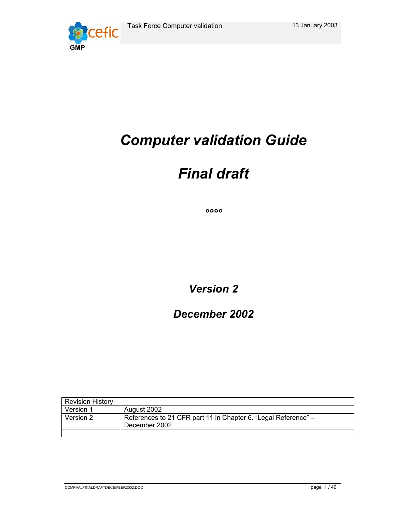

# *Computer validation Guide*

# *Final draft*

*°°°°* 

*Version 2* 

*December 2002* 

| <b>Revision History:</b> |                                                                                 |
|--------------------------|---------------------------------------------------------------------------------|
| Version 1                | August 2002                                                                     |
| Version 2                | References to 21 CFR part 11 in Chapter 6. "Legal Reference" –<br>December 2002 |
|                          |                                                                                 |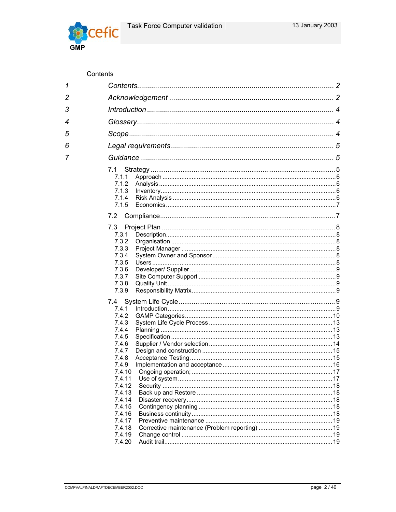

# Contents

| 1              |                  |  |
|----------------|------------------|--|
| $\overline{2}$ |                  |  |
| 3              |                  |  |
| 4              |                  |  |
| 5              |                  |  |
| 6              |                  |  |
| 7              |                  |  |
|                |                  |  |
|                | 7.1<br>7.1.1     |  |
|                | 7.1.2            |  |
|                | 7.1.3            |  |
|                | 7.1.4            |  |
|                | 7.1.5            |  |
|                |                  |  |
|                | 7.2              |  |
|                | 7.3              |  |
|                | 7.3.1            |  |
|                | 7.3.2            |  |
|                | 7.3.3            |  |
|                | 7.3.4            |  |
|                | 7.3.5            |  |
|                | 7.3.6            |  |
|                | 7.3.7            |  |
|                | 7.3.8            |  |
|                | 7.3.9            |  |
|                |                  |  |
|                | 7.4.1            |  |
|                | 7.4.2            |  |
|                | 7.4.3            |  |
|                | 7.4.4            |  |
|                | 7.4.5            |  |
|                | 7.4.6            |  |
|                | 7.4.7            |  |
|                | 7.4.8            |  |
|                | 7.4.9            |  |
|                |                  |  |
|                | 7.4.11<br>7.4.12 |  |
|                | 7.4.13           |  |
|                | 7.4.14           |  |
|                | 7.4.15           |  |
|                | 7.4.16           |  |
|                | 7.4.17           |  |
|                | 7.4.18           |  |
|                | 7.4.19           |  |
|                | 7.4.20           |  |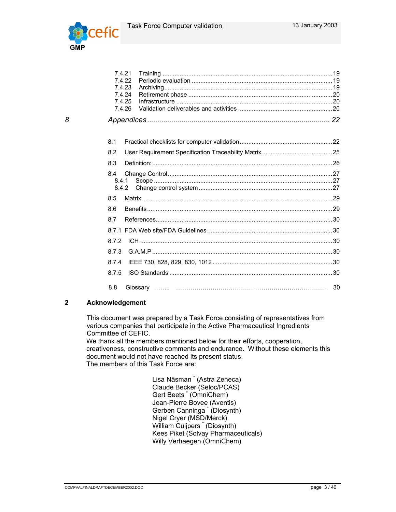

|   | 7.4.21<br>7.4.22<br>7.4.23<br>7.4.24<br>7.4.25<br>7.4.26 |  |
|---|----------------------------------------------------------|--|
| 8 |                                                          |  |
|   | 8.1                                                      |  |
|   | 8.2                                                      |  |
|   | 8.3                                                      |  |
|   | 8.4<br>8.4.1<br>8.4.2                                    |  |
|   | 8.5                                                      |  |
|   | 8.6                                                      |  |
|   | 8.7                                                      |  |
|   |                                                          |  |
|   | 8.7.2                                                    |  |
|   | 8.7.3                                                    |  |
|   | 8.7.4                                                    |  |
|   | 8.7.5                                                    |  |
|   | 8.8                                                      |  |

## **2 Acknowledgement**

This document was prepared by a Task Force consisting of representatives from various companies that participate in the Active Pharmaceutical Ingredients Committee of CEFIC.

We thank all the members mentioned below for their efforts, cooperation, creativeness, constructive comments and endurance. Without these elements this document would not have reached its present status. The members of this Task Force are:

 Lisa Näsman \* (Astra Zeneca) Claude Becker (Seloc/PCAS) Gert Beets \* (OmniChem) Jean-Pierre Bovee (Aventis) Gerben Canninga \* (Diosynth) Nigel Cryer (MSD/Merck) William Cuijpers \* (Diosynth) Kees Piket (Solvay Pharmaceuticals) Willy Verhaegen (OmniChem)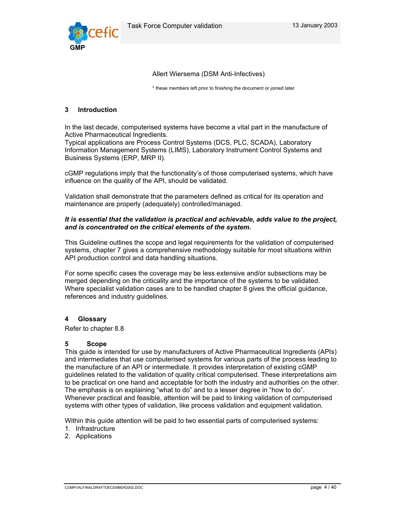

Allert Wiersema (DSM Anti-Infectives)

\* these members left prior to finishing the document or joined later

#### **3 Introduction**

In the last decade, computerised systems have become a vital part in the manufacture of Active Pharmaceutical Ingredients.

Typical applications are Process Control Systems (DCS, PLC, SCADA), Laboratory Information Management Systems (LIMS), Laboratory Instrument Control Systems and Business Systems (ERP, MRP II).

cGMP regulations imply that the functionality's of those computerised systems, which have influence on the quality of the API, should be validated.

Validation shall demonstrate that the parameters defined as critical for its operation and maintenance are properly (adequately) controlled/managed.

#### *It is essential that the validation is practical and achievable, adds value to the project, and is concentrated on the critical elements of the system.*

This Guideline outlines the scope and legal requirements for the validation of computerised systems, chapter 7 gives a comprehensive methodology suitable for most situations within API production control and data handling situations.

For some specific cases the coverage may be less extensive and/or subsections may be merged depending on the criticality and the importance of the systems to be validated. Where specialist validation cases are to be handled chapter 8 gives the official guidance, references and industry guidelines.

## **4 Glossary**

Refer to chapter 8.8

#### **5 Scope**

This guide is intended for use by manufacturers of Active Pharmaceutical Ingredients (APIs) and intermediates that use computerised systems for various parts of the process leading to the manufacture of an API or intermediate. It provides interpretation of existing cGMP guidelines related to the validation of quality critical computerised. These interpretations aim to be practical on one hand and acceptable for both the industry and authorities on the other. The emphasis is on explaining "what to do" and to a lesser degree in "how to do". Whenever practical and feasible, attention will be paid to linking validation of computerised systems with other types of validation, like process validation and equipment validation.

Within this guide attention will be paid to two essential parts of computerised systems:

- 1. Infrastructure
- 2. Applications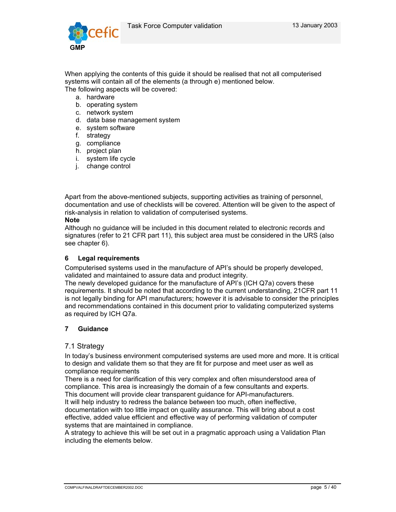

When applying the contents of this guide it should be realised that not all computerised systems will contain all of the elements (a through e) mentioned below. The following aspects will be covered:

- a. hardware
- b. operating system
- c. network system
- d. data base management system
- e. system software
- f. strategy
- g. compliance
- h. project plan
- i. system life cycle
- j. change control

Apart from the above-mentioned subjects, supporting activities as training of personnel, documentation and use of checklists will be covered. Attention will be given to the aspect of risk-analysis in relation to validation of computerised systems.

#### **Note**

Although no guidance will be included in this document related to electronic records and signatures (refer to 21 CFR part 11), this subject area must be considered in the URS (also see chapter 6).

#### **6 Legal requirements**

Computerised systems used in the manufacture of API's should be properly developed, validated and maintained to assure data and product integrity.

The newly developed guidance for the manufacture of API's (ICH Q7a) covers these requirements. It should be noted that according to the current understanding, 21CFR part 11 is not legally binding for API manufacturers; however it is advisable to consider the principles and recommendations contained in this document prior to validating computerized systems as required by ICH Q7a.

## **7 Guidance**

#### 7.1 Strategy

In today's business environment computerised systems are used more and more. It is critical to design and validate them so that they are fit for purpose and meet user as well as compliance requirements

There is a need for clarification of this very complex and often misunderstood area of compliance. This area is increasingly the domain of a few consultants and experts. This document will provide clear transparent guidance for API-manufacturers.

It will help industry to redress the balance between too much, often ineffective,

documentation with too little impact on quality assurance. This will bring about a cost effective, added value efficient and effective way of performing validation of computer systems that are maintained in compliance.

A strategy to achieve this will be set out in a pragmatic approach using a Validation Plan including the elements below.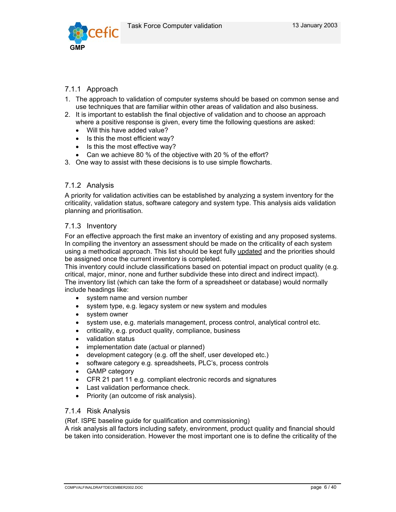

# 7.1.1 Approach

- 1. The approach to validation of computer systems should be based on common sense and use techniques that are familiar within other areas of validation and also business.
- 2. It is important to establish the final objective of validation and to choose an approach where a positive response is given, every time the following questions are asked:
	- Will this have added value?
	- Is this the most efficient way?
	- Is this the most effective way?
	- Can we achieve 80 % of the objective with 20 % of the effort?
- 3. One way to assist with these decisions is to use simple flowcharts.

## 7.1.2 Analysis

A priority for validation activities can be established by analyzing a system inventory for the criticality, validation status, software category and system type. This analysis aids validation planning and prioritisation.

## 7.1.3 Inventory

For an effective approach the first make an inventory of existing and any proposed systems. In compiling the inventory an assessment should be made on the criticality of each system using a methodical approach. This list should be kept fully updated and the priorities should be assigned once the current inventory is completed.

This inventory could include classifications based on potential impact on product quality (e.g. critical, major, minor, none and further subdivide these into direct and indirect impact). The inventory list (which can take the form of a spreadsheet or database) would normally include headings like:

- system name and version number
- system type, e.g. legacy system or new system and modules
- system owner
- system use, e.g. materials management, process control, analytical control etc.
- criticality, e.g. product quality, compliance, business
- validation status
- implementation date (actual or planned)
- development category (e.g. off the shelf, user developed etc.)
- software category e.g. spreadsheets, PLC's, process controls
- GAMP category
- CFR 21 part 11 e.g. compliant electronic records and signatures
- Last validation performance check.
- Priority (an outcome of risk analysis).

## 7.1.4 Risk Analysis

(Ref. ISPE baseline guide for qualification and commissioning)

A risk analysis all factors including safety, environment, product quality and financial should be taken into consideration. However the most important one is to define the criticality of the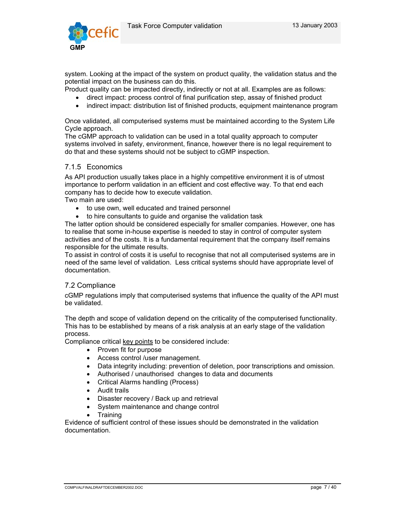

system. Looking at the impact of the system on product quality, the validation status and the potential impact on the business can do this.

Product quality can be impacted directly, indirectly or not at all. Examples are as follows:

- direct impact: process control of final purification step, assay of finished product
- indirect impact: distribution list of finished products, equipment maintenance program

Once validated, all computerised systems must be maintained according to the System Life Cycle approach.

The cGMP approach to validation can be used in a total quality approach to computer systems involved in safety, environment, finance, however there is no legal requirement to do that and these systems should not be subject to cGMP inspection.

# 7.1.5 Economics

As API production usually takes place in a highly competitive environment it is of utmost importance to perform validation in an efficient and cost effective way. To that end each company has to decide how to execute validation.

Two main are used:

- to use own, well educated and trained personnel
- to hire consultants to guide and organise the validation task

The latter option should be considered especially for smaller companies. However, one has to realise that some in-house expertise is needed to stay in control of computer system activities and of the costs. It is a fundamental requirement that the company itself remains responsible for the ultimate results.

To assist in control of costs it is useful to recognise that not all computerised systems are in need of the same level of validation. Less critical systems should have appropriate level of documentation.

## 7.2 Compliance

cGMP regulations imply that computerised systems that influence the quality of the API must be validated.

The depth and scope of validation depend on the criticality of the computerised functionality. This has to be established by means of a risk analysis at an early stage of the validation process.

Compliance critical key points to be considered include:

- Proven fit for purpose
- Access control /user management.
- Data integrity including: prevention of deletion, poor transcriptions and omission.
- Authorised / unauthorised changes to data and documents
- Critical Alarms handling (Process)
- Audit trails
- Disaster recovery / Back up and retrieval
- System maintenance and change control
- Training

Evidence of sufficient control of these issues should be demonstrated in the validation documentation.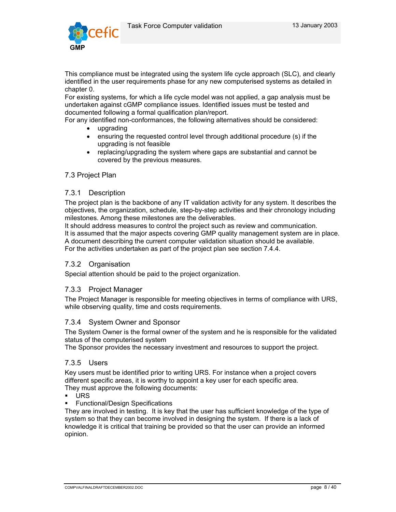

This compliance must be integrated using the system life cycle approach (SLC), and clearly identified in the user requirements phase for any new computerised systems as detailed in chapter 0.

For existing systems, for which a life cycle model was not applied, a gap analysis must be undertaken against cGMP compliance issues. Identified issues must be tested and documented following a formal qualification plan/report.

For any identified non-conformances, the following alternatives should be considered:

- upgrading
- ensuring the requested control level through additional procedure (s) if the upgrading is not feasible
- replacing/upgrading the system where gaps are substantial and cannot be covered by the previous measures.

## 7.3 Project Plan

#### 7.3.1 Description

The project plan is the backbone of any IT validation activity for any system. It describes the objectives, the organization, schedule, step-by-step activities and their chronology including milestones. Among these milestones are the deliverables.

It should address measures to control the project such as review and communication. It is assumed that the major aspects covering GMP quality management system are in place. A document describing the current computer validation situation should be available. For the activities undertaken as part of the project plan see section 7.4.4.

## 7.3.2 Organisation

Special attention should be paid to the project organization.

## 7.3.3 Project Manager

The Project Manager is responsible for meeting objectives in terms of compliance with URS, while observing quality, time and costs requirements.

## 7.3.4 System Owner and Sponsor

The System Owner is the formal owner of the system and he is responsible for the validated status of the computerised system

The Sponsor provides the necessary investment and resources to support the project.

#### 7.3.5 Users

Key users must be identified prior to writing URS. For instance when a project covers different specific areas, it is worthy to appoint a key user for each specific area. They must approve the following documents:

- URS
- **Functional/Design Specifications**

They are involved in testing. It is key that the user has sufficient knowledge of the type of system so that they can become involved in designing the system. If there is a lack of knowledge it is critical that training be provided so that the user can provide an informed opinion.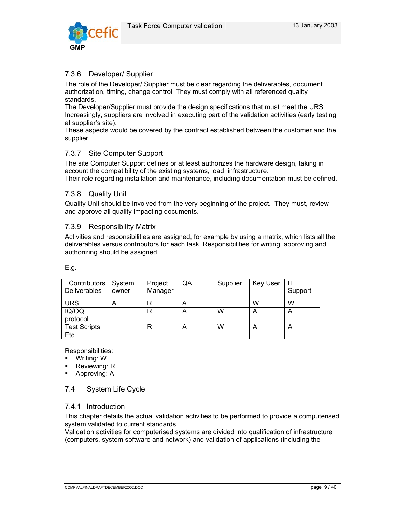

# 7.3.6 Developer/ Supplier

The role of the Developer/ Supplier must be clear regarding the deliverables, document authorization, timing, change control. They must comply with all referenced quality standards.

The Developer/Supplier must provide the design specifications that must meet the URS. Increasingly, suppliers are involved in executing part of the validation activities (early testing at supplier's site).

These aspects would be covered by the contract established between the customer and the supplier.

# 7.3.7 Site Computer Support

The site Computer Support defines or at least authorizes the hardware design, taking in account the compatibility of the existing systems, load, infrastructure. Their role regarding installation and maintenance, including documentation must be defined.

## 7.3.8 Quality Unit

Quality Unit should be involved from the very beginning of the project. They must, review and approve all quality impacting documents.

## 7.3.9 Responsibility Matrix

Activities and responsibilities are assigned, for example by using a matrix, which lists all the deliverables versus contributors for each task. Responsibilities for writing, approving and authorizing should be assigned.

E.g.

| Contributors<br>Deliverables | System<br>owner | Project<br>Manager | QA | Supplier | <b>Key User</b> | Support |
|------------------------------|-----------------|--------------------|----|----------|-----------------|---------|
| <b>URS</b>                   | A               | R                  | Α  |          | w               | W       |
| IQ/OQ<br>protocol            |                 | R                  | A  | W        | A               | A       |
| <b>Test Scripts</b>          |                 |                    | A  | W        | Α               | Α       |
| Etc.                         |                 |                    |    |          |                 |         |

Responsibilities:

- Writing: W
- Reviewing: R
- Approving: A

# 7.4 System Life Cycle

## 7.4.1 Introduction

This chapter details the actual validation activities to be performed to provide a computerised system validated to current standards.

Validation activities for computerised systems are divided into qualification of infrastructure (computers, system software and network) and validation of applications (including the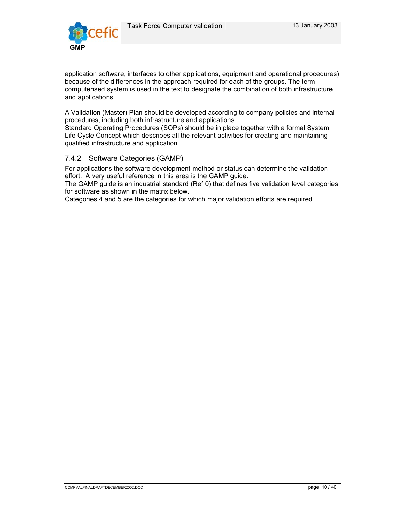

application software, interfaces to other applications, equipment and operational procedures) because of the differences in the approach required for each of the groups. The term computerised system is used in the text to designate the combination of both infrastructure and applications.

A Validation (Master) Plan should be developed according to company policies and internal procedures, including both infrastructure and applications.

Standard Operating Procedures (SOPs) should be in place together with a formal System Life Cycle Concept which describes all the relevant activities for creating and maintaining qualified infrastructure and application.

# 7.4.2 Software Categories (GAMP)

For applications the software development method or status can determine the validation effort. A very useful reference in this area is the GAMP guide.

The GAMP guide is an industrial standard (Ref 0) that defines five validation level categories for software as shown in the matrix below.

Categories 4 and 5 are the categories for which major validation efforts are required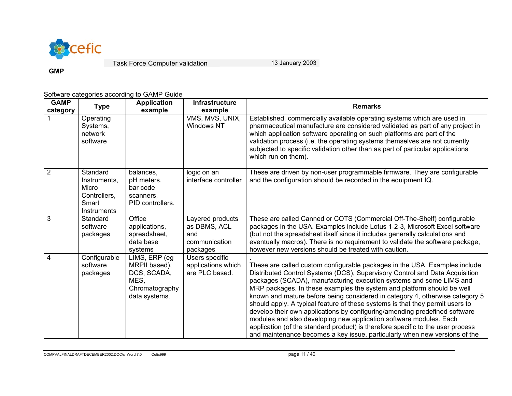

**GMP** 

# Software categories according to GAMP Guide

| <b>GAMP</b><br>category | Type                                                                      | <b>Application</b><br>example                                                             | <b>Infrastructure</b><br>example                                     | <b>Remarks</b>                                                                                                                                                                                                                                                                                                                                                                                                                                                                                                                                                                                                                                                                                                                                                                                   |
|-------------------------|---------------------------------------------------------------------------|-------------------------------------------------------------------------------------------|----------------------------------------------------------------------|--------------------------------------------------------------------------------------------------------------------------------------------------------------------------------------------------------------------------------------------------------------------------------------------------------------------------------------------------------------------------------------------------------------------------------------------------------------------------------------------------------------------------------------------------------------------------------------------------------------------------------------------------------------------------------------------------------------------------------------------------------------------------------------------------|
|                         | Operating<br>Systems,<br>network<br>software                              |                                                                                           | VMS, MVS, UNIX,<br>Windows NT                                        | Established, commercially available operating systems which are used in<br>pharmaceutical manufacture are considered validated as part of any project in<br>which application software operating on such platforms are part of the<br>validation process (i.e. the operating systems themselves are not currently<br>subjected to specific validation other than as part of particular applications<br>which run on them).                                                                                                                                                                                                                                                                                                                                                                       |
| $\overline{2}$          | Standard<br>Instruments,<br>Micro<br>Controllers,<br>Smart<br>Instruments | balances,<br>pH meters,<br>bar code<br>scanners.<br>PID controllers.                      | logic on an<br>interface controller                                  | These are driven by non-user programmable firmware. They are configurable<br>and the configuration should be recorded in the equipment IQ.                                                                                                                                                                                                                                                                                                                                                                                                                                                                                                                                                                                                                                                       |
| 3                       | Standard<br>software<br>packages                                          | Office<br>applications,<br>spreadsheet,<br>data base<br>systems                           | Layered products<br>as DBMS, ACL<br>and<br>communication<br>packages | These are called Canned or COTS (Commercial Off-The-Shelf) configurable<br>packages in the USA. Examples include Lotus 1-2-3, Microsoft Excel software<br>(but not the spreadsheet itself since it includes generally calculations and<br>eventually macros). There is no requirement to validate the software package,<br>however new versions should be treated with caution.                                                                                                                                                                                                                                                                                                                                                                                                                  |
| 4                       | Configurable<br>software<br>packages                                      | LIMS, ERP (eg)<br>MRPII based),<br>DCS, SCADA,<br>MES.<br>Chromatography<br>data systems. | Users specific<br>applications which<br>are PLC based.               | These are called custom configurable packages in the USA. Examples include<br>Distributed Control Systems (DCS), Supervisory Control and Data Acquisition<br>packages (SCADA), manufacturing execution systems and some LIMS and<br>MRP packages. In these examples the system and platform should be well<br>known and mature before being considered in category 4, otherwise category 5<br>should apply. A typical feature of these systems is that they permit users to<br>develop their own applications by configuring/amending predefined software<br>modules and also developing new application software modules. Each<br>application (of the standard product) is therefore specific to the user process<br>and maintenance becomes a key issue, particularly when new versions of the |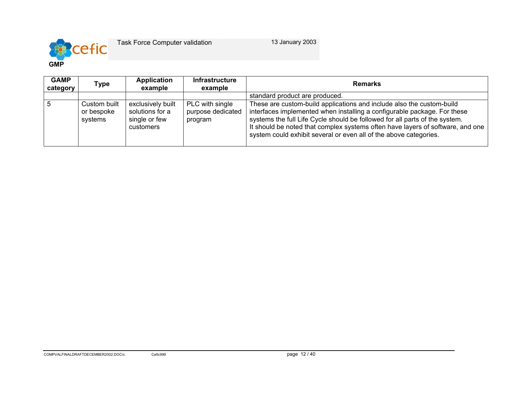

| <b>GAMP</b><br>category | Type                                  | <b>Application</b><br>example                                      | <b>Infrastructure</b><br>example                | <b>Remarks</b>                                                                                                                                                                                                                                                                                                                                                                          |
|-------------------------|---------------------------------------|--------------------------------------------------------------------|-------------------------------------------------|-----------------------------------------------------------------------------------------------------------------------------------------------------------------------------------------------------------------------------------------------------------------------------------------------------------------------------------------------------------------------------------------|
|                         |                                       |                                                                    |                                                 | standard product are produced.                                                                                                                                                                                                                                                                                                                                                          |
| -5                      | Custom built<br>or bespoke<br>systems | exclusively built<br>solutions for a<br>single or few<br>customers | PLC with single<br>purpose dedicated<br>program | These are custom-build applications and include also the custom-build<br>interfaces implemented when installing a configurable package. For these<br>systems the full Life Cycle should be followed for all parts of the system.<br>It should be noted that complex systems often have layers of software, and one<br>system could exhibit several or even all of the above categories. |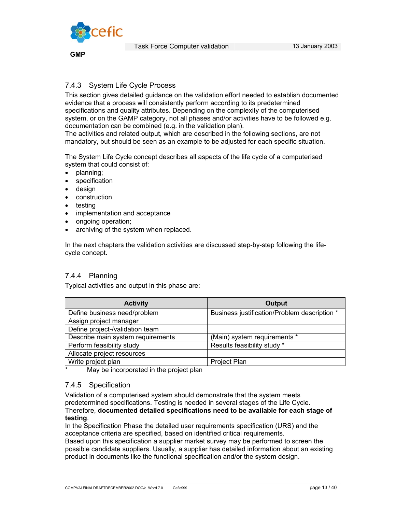

**GMP** 

# 7.4.3 System Life Cycle Process

This section gives detailed guidance on the validation effort needed to establish documented evidence that a process will consistently perform according to its predetermined specifications and quality attributes. Depending on the complexity of the computerised system, or on the GAMP category, not all phases and/or activities have to be followed e.g. documentation can be combined (e.g. in the validation plan).

The activities and related output, which are described in the following sections, are not mandatory, but should be seen as an example to be adjusted for each specific situation.

The System Life Cycle concept describes all aspects of the life cycle of a computerised system that could consist of:

- planning;
- **specification**
- design
- construction
- testing
- implementation and acceptance
- ongoing operation;
- archiving of the system when replaced.

In the next chapters the validation activities are discussed step-by-step following the lifecycle concept.

# 7.4.4 Planning

Typical activities and output in this phase are:

| <b>Activity</b>                   | Output                                       |
|-----------------------------------|----------------------------------------------|
| Define business need/problem      | Business justification/Problem description * |
| Assign project manager            |                                              |
| Define project-/validation team   |                                              |
| Describe main system requirements | (Main) system requirements *                 |
| Perform feasibility study         | Results feasibility study *                  |
| Allocate project resources        |                                              |
| Write project plan                | <b>Project Plan</b>                          |

May be incorporated in the project plan

## 7.4.5 Specification

Validation of a computerised system should demonstrate that the system meets predetermined specifications. Testing is needed in several stages of the Life Cycle. Therefore, **documented detailed specifications need to be available for each stage of testing**.

In the Specification Phase the detailed user requirements specification (URS) and the acceptance criteria are specified, based on identified critical requirements.

Based upon this specification a supplier market survey may be performed to screen the possible candidate suppliers. Usually, a supplier has detailed information about an existing product in documents like the functional specification and/or the system design.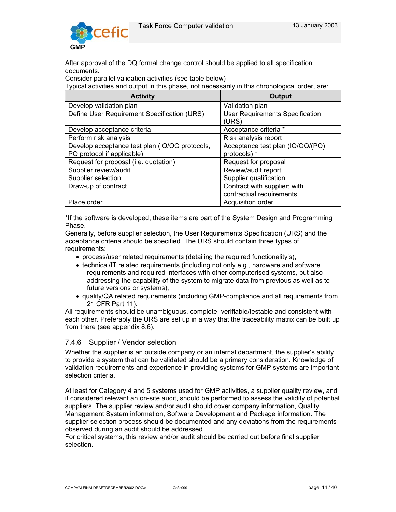

After approval of the DQ formal change control should be applied to all specification documents.

Consider parallel validation activities (see table below)

Typical activities and output in this phase, not necessarily in this chronological order, are:

| <b>Activity</b>                                | <b>Output</b>                                   |
|------------------------------------------------|-------------------------------------------------|
| Develop validation plan                        | Validation plan                                 |
| Define User Requirement Specification (URS)    | <b>User Requirements Specification</b><br>(URS) |
| Develop acceptance criteria                    | Acceptance criteria *                           |
| Perform risk analysis                          | Risk analysis report                            |
| Develop acceptance test plan (IQ/OQ protocols, | Acceptance test plan (IQ/OQ/(PQ)                |
| PQ protocol if applicable)                     | protocols) *                                    |
| Request for proposal (i.e. quotation)          | Request for proposal                            |
| Supplier review/audit                          | Review/audit report                             |
| Supplier selection                             | Supplier qualification                          |
| Draw-up of contract                            | Contract with supplier; with                    |
|                                                | contractual requirements                        |
| Place order                                    | Acquisition order                               |

\*If the software is developed, these items are part of the System Design and Programming Phase.

Generally, before supplier selection, the User Requirements Specification (URS) and the acceptance criteria should be specified. The URS should contain three types of requirements:

- process/user related requirements (detailing the required functionality's),
- technical/IT related requirements (including not only e.g., hardware and software requirements and required interfaces with other computerised systems, but also addressing the capability of the system to migrate data from previous as well as to future versions or systems),
- quality/QA related requirements (including GMP-compliance and all requirements from 21 CFR Part 11).

All requirements should be unambiguous, complete, verifiable/testable and consistent with each other. Preferably the URS are set up in a way that the traceability matrix can be built up from there (see appendix 8.6).

## 7.4.6 Supplier / Vendor selection

Whether the supplier is an outside company or an internal department, the supplier's ability to provide a system that can be validated should be a primary consideration. Knowledge of validation requirements and experience in providing systems for GMP systems are important selection criteria.

At least for Category 4 and 5 systems used for GMP activities, a supplier quality review, and if considered relevant an on-site audit, should be performed to assess the validity of potential suppliers. The supplier review and/or audit should cover company information, Quality Management System information, Software Development and Package information. The supplier selection process should be documented and any deviations from the requirements observed during an audit should be addressed.

For critical systems, this review and/or audit should be carried out before final supplier selection.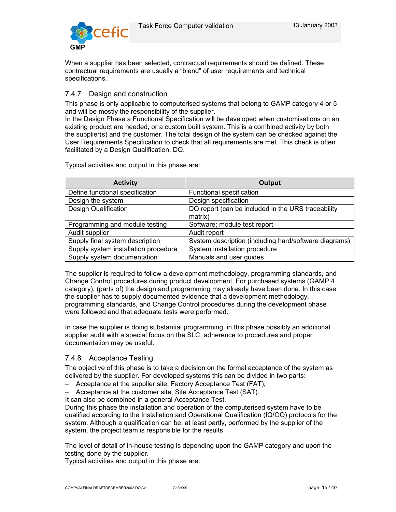

When a supplier has been selected, contractual requirements should be defined. These contractual requirements are usually a "blend" of user requirements and technical specifications.

# 7.4.7 Design and construction

This phase is only applicable to computerised systems that belong to GAMP category 4 or 5 and will be mostly the responsibility of the supplier.

In the Design Phase a Functional Specification will be developed when customisations on an existing product are needed, or a custom built system. This is a combined activity by both the supplier(s) and the customer. The total design of the system can be checked against the User Requirements Specification to check that all requirements are met. This check is often facilitated by a Design Qualification, DQ.

Typical activities and output in this phase are:

| <b>Activity</b>                      | <b>Output</b>                                         |
|--------------------------------------|-------------------------------------------------------|
| Define functional specification      | Functional specification                              |
| Design the system                    | Design specification                                  |
| <b>Design Qualification</b>          | DQ report (can be included in the URS traceability    |
|                                      | matrix)                                               |
| Programming and module testing       | Software; module test report                          |
| Audit supplier                       | Audit report                                          |
| Supply final system description      | System description (including hard/software diagrams) |
| Supply system installation procedure | System installation procedure                         |
| Supply system documentation          | Manuals and user guides                               |

The supplier is required to follow a development methodology, programming standards, and Change Control procedures during product development. For purchased systems (GAMP 4 category), (parts of) the design and programming may already have been done. In this case the supplier has to supply documented evidence that a development methodology, programming standards, and Change Control procedures during the development phase were followed and that adequate tests were performed.

In case the supplier is doing substantial programming, in this phase possibly an additional supplier audit with a special focus on the SLC, adherence to procedures and proper documentation may be useful.

# 7.4.8 Acceptance Testing

The objective of this phase is to take a decision on the formal acceptance of the system as delivered by the supplier. For developed systems this can be divided in two parts:

- − Acceptance at the supplier site, Factory Acceptance Test (FAT);
- − Acceptance at the customer site, Site Acceptance Test (SAT).

It can also be combined in a general Acceptance Test.

During this phase the installation and operation of the computerised system have to be qualified according to the Installation and Operational Qualification (IQ/OQ) protocols for the system. Although a qualification can be, at least partly, performed by the supplier of the system, the project team is responsible for the results.

The level of detail of in-house testing is depending upon the GAMP category and upon the testing done by the supplier.

Typical activities and output in this phase are: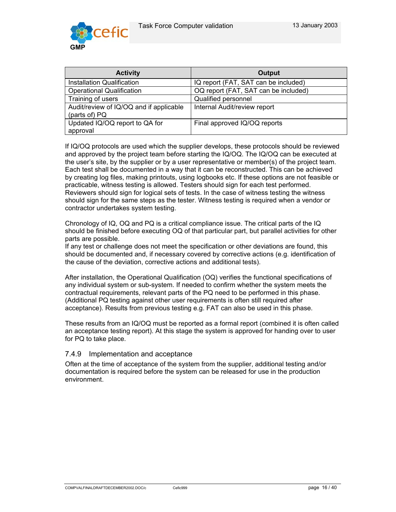

| <b>Activity</b>                                          | Output                               |  |
|----------------------------------------------------------|--------------------------------------|--|
| Installation Qualification                               | IQ report (FAT, SAT can be included) |  |
| <b>Operational Qualification</b>                         | OQ report (FAT, SAT can be included) |  |
| Training of users                                        | Qualified personnel                  |  |
| Audit/review of IQ/OQ and if applicable<br>(parts of) PQ | Internal Audit/review report         |  |
| Updated IQ/OQ report to QA for<br>approval               | Final approved IQ/OQ reports         |  |

If IQ/OQ protocols are used which the supplier develops, these protocols should be reviewed and approved by the project team before starting the IQ/OQ. The IQ/OQ can be executed at the user's site, by the supplier or by a user representative or member(s) of the project team. Each test shall be documented in a way that it can be reconstructed. This can be achieved by creating log files, making printouts, using logbooks etc. If these options are not feasible or practicable, witness testing is allowed. Testers should sign for each test performed. Reviewers should sign for logical sets of tests. In the case of witness testing the witness should sign for the same steps as the tester. Witness testing is required when a vendor or contractor undertakes system testing.

Chronology of IQ, OQ and PQ is a critical compliance issue. The critical parts of the IQ should be finished before executing OQ of that particular part, but parallel activities for other parts are possible.

If any test or challenge does not meet the specification or other deviations are found, this should be documented and, if necessary covered by corrective actions (e.g. identification of the cause of the deviation, corrective actions and additional tests).

After installation, the Operational Qualification (OQ) verifies the functional specifications of any individual system or sub-system. If needed to confirm whether the system meets the contractual requirements, relevant parts of the PQ need to be performed in this phase. (Additional PQ testing against other user requirements is often still required after acceptance). Results from previous testing e.g. FAT can also be used in this phase.

These results from an IQ/OQ must be reported as a formal report (combined it is often called an acceptance testing report). At this stage the system is approved for handing over to user for PQ to take place.

## 7.4.9 Implementation and acceptance

Often at the time of acceptance of the system from the supplier, additional testing and/or documentation is required before the system can be released for use in the production environment.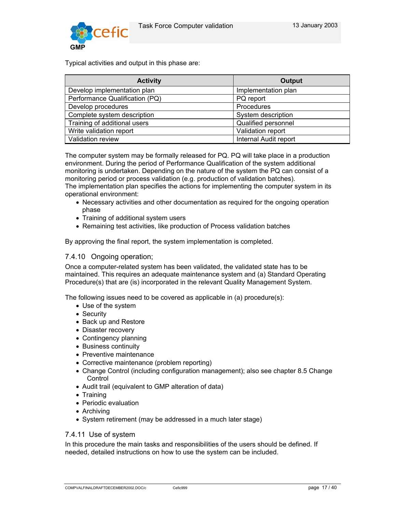

Typical activities and output in this phase are:

| <b>Activity</b>                | <b>Output</b>         |
|--------------------------------|-----------------------|
| Develop implementation plan    | Implementation plan   |
| Performance Qualification (PQ) | PQ report             |
| Develop procedures             | Procedures            |
| Complete system description    | System description    |
| Training of additional users   | Qualified personnel   |
| Write validation report        | Validation report     |
| Validation review              | Internal Audit report |

The computer system may be formally released for PQ. PQ will take place in a production environment. During the period of Performance Qualification of the system additional monitoring is undertaken. Depending on the nature of the system the PQ can consist of a monitoring period or process validation (e.g. production of validation batches). The implementation plan specifies the actions for implementing the computer system in its operational environment:

- Necessary activities and other documentation as required for the ongoing operation phase
- Training of additional system users
- Remaining test activities, like production of Process validation batches

By approving the final report, the system implementation is completed.

## 7.4.10 Ongoing operation;

Once a computer-related system has been validated, the validated state has to be maintained. This requires an adequate maintenance system and (a) Standard Operating Procedure(s) that are (is) incorporated in the relevant Quality Management System.

The following issues need to be covered as applicable in (a) procedure(s):

- Use of the system
- Security
- Back up and Restore
- Disaster recovery
- Contingency planning
- Business continuity
- Preventive maintenance
- Corrective maintenance (problem reporting)
- Change Control (including configuration management); also see chapter 8.5 Change **Control**
- Audit trail (equivalent to GMP alteration of data)
- Training
- Periodic evaluation
- Archiving
- System retirement (may be addressed in a much later stage)

## 7.4.11 Use of system

In this procedure the main tasks and responsibilities of the users should be defined. If needed, detailed instructions on how to use the system can be included.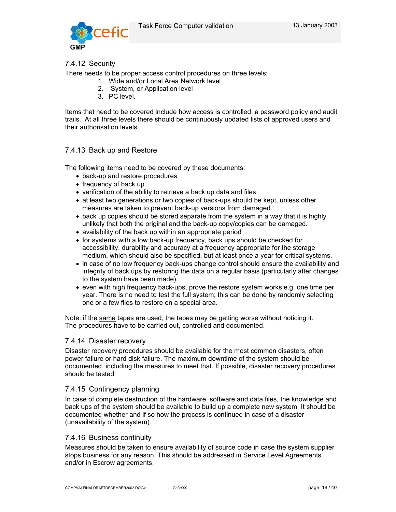

# 7.4.12 Security

There needs to be proper access control procedures on three levels:

- 1. Wide and/or Local Area Network level
- 2. System, or Application level
- 3. PC level.

Items that need to be covered include how access is controlled, a password policy and audit trails. At all three levels there should be continuously updated lists of approved users and their authorisation levels.

# 7.4.13 Back up and Restore

The following items need to be covered by these documents:

- back-up and restore procedures
- frequency of back up
- verification of the ability to retrieve a back up data and files
- at least two generations or two copies of back-ups should be kept, unless other measures are taken to prevent back-up versions from damaged.
- back up copies should be stored separate from the system in a way that it is highly unlikely that both the original and the back-up copy/copies can be damaged.
- availability of the back up within an appropriate period
- for systems with a low back-up frequency, back ups should be checked for accessibility, durability and accuracy at a frequency appropriate for the storage medium, which should also be specified, but at least once a year for critical systems.
- in case of no low frequency back-ups change control should ensure the availability and integrity of back ups by restoring the data on a regular basis (particularly after changes to the system have been made).
- even with high frequency back-ups, prove the restore system works e.g. one time per year. There is no need to test the full system; this can be done by randomly selecting one or a few files to restore on a special area.

Note: if the same tapes are used, the tapes may be getting worse without noticing it. The procedures have to be carried out, controlled and documented.

## 7.4.14 Disaster recovery

Disaster recovery procedures should be available for the most common disasters, often power failure or hard disk failure. The maximum downtime of the system should be documented, including the measures to meet that. If possible, disaster recovery procedures should be tested.

## 7.4.15 Contingency planning

In case of complete destruction of the hardware, software and data files, the knowledge and back ups of the system should be available to build up a complete new system. It should be documented whether and if so how the process is continued in case of a disaster (unavailability of the system).

## 7.4.16 Business continuity

Measures should be taken to ensure availability of source code in case the system supplier stops business for any reason. This should be addressed in Service Level Agreements and/or in Escrow agreements.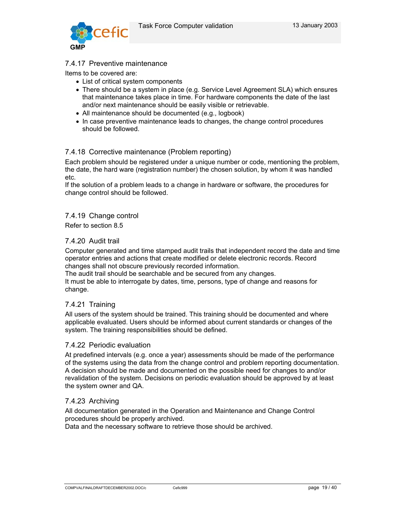

## 7.4.17 Preventive maintenance

Items to be covered are:

- List of critical system components
- There should be a system in place (e.g. Service Level Agreement SLA) which ensures that maintenance takes place in time. For hardware components the date of the last and/or next maintenance should be easily visible or retrievable.
- All maintenance should be documented (e.g., logbook)
- In case preventive maintenance leads to changes, the change control procedures should be followed.

# 7.4.18 Corrective maintenance (Problem reporting)

Each problem should be registered under a unique number or code, mentioning the problem, the date, the hard ware (registration number) the chosen solution, by whom it was handled etc.

If the solution of a problem leads to a change in hardware or software, the procedures for change control should be followed.

#### 7.4.19 Change control

Refer to section 8.5

## 7.4.20 Audit trail

Computer generated and time stamped audit trails that independent record the date and time operator entries and actions that create modified or delete electronic records. Record changes shall not obscure previously recorded information.

The audit trail should be searchable and be secured from any changes.

It must be able to interrogate by dates, time, persons, type of change and reasons for change.

## 7.4.21 Training

All users of the system should be trained. This training should be documented and where applicable evaluated. Users should be informed about current standards or changes of the system. The training responsibilities should be defined.

#### 7.4.22 Periodic evaluation

At predefined intervals (e.g. once a year) assessments should be made of the performance of the systems using the data from the change control and problem reporting documentation. A decision should be made and documented on the possible need for changes to and/or revalidation of the system. Decisions on periodic evaluation should be approved by at least the system owner and QA.

## 7.4.23 Archiving

All documentation generated in the Operation and Maintenance and Change Control procedures should be properly archived.

Data and the necessary software to retrieve those should be archived.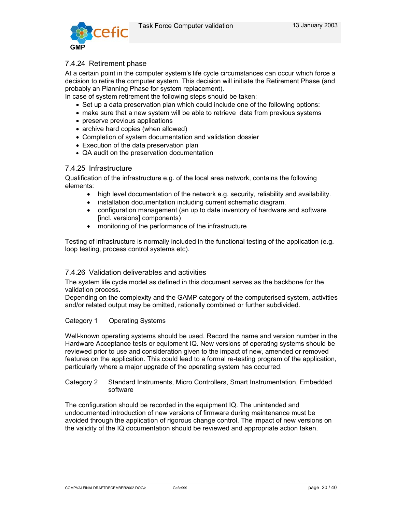

# 7.4.24 Retirement phase

At a certain point in the computer system's life cycle circumstances can occur which force a decision to retire the computer system. This decision will initiate the Retirement Phase (and probably an Planning Phase for system replacement).

In case of system retirement the following steps should be taken:

- Set up a data preservation plan which could include one of the following options:
- make sure that a new system will be able to retrieve data from previous systems
- preserve previous applications
- archive hard copies (when allowed)
- Completion of system documentation and validation dossier
- Execution of the data preservation plan
- QA audit on the preservation documentation

## 7.4.25 Infrastructure

Qualification of the infrastructure e.g. of the local area network, contains the following elements:

- high level documentation of the network e.g. security, reliability and availability.
- installation documentation including current schematic diagram.
- configuration management (an up to date inventory of hardware and software [incl. versions] components)
- monitoring of the performance of the infrastructure

Testing of infrastructure is normally included in the functional testing of the application (e.g. loop testing, process control systems etc).

#### 7.4.26 Validation deliverables and activities

The system life cycle model as defined in this document serves as the backbone for the validation process.

Depending on the complexity and the GAMP category of the computerised system, activities and/or related output may be omitted, rationally combined or further subdivided.

#### Category 1 Operating Systems

Well-known operating systems should be used. Record the name and version number in the Hardware Acceptance tests or equipment IQ. New versions of operating systems should be reviewed prior to use and consideration given to the impact of new, amended or removed features on the application. This could lead to a formal re-testing program of the application, particularly where a major upgrade of the operating system has occurred.

#### Category 2 Standard Instruments, Micro Controllers, Smart Instrumentation, Embedded software

The configuration should be recorded in the equipment IQ. The unintended and undocumented introduction of new versions of firmware during maintenance must be avoided through the application of rigorous change control. The impact of new versions on the validity of the IQ documentation should be reviewed and appropriate action taken.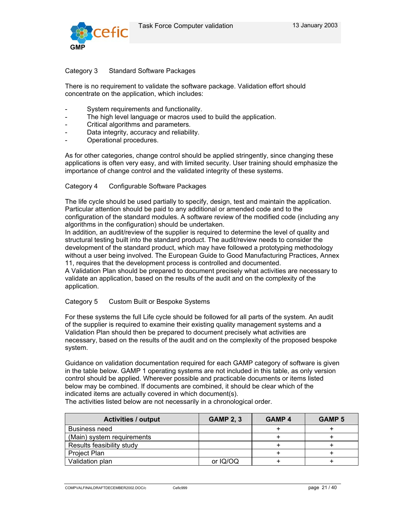

## Category 3 Standard Software Packages

There is no requirement to validate the software package. Validation effort should concentrate on the application, which includes:

- System requirements and functionality.
- The high level language or macros used to build the application.
- Critical algorithms and parameters.
- Data integrity, accuracy and reliability.
- Operational procedures.

As for other categories, change control should be applied stringently, since changing these applications is often very easy, and with limited security. User training should emphasize the importance of change control and the validated integrity of these systems.

#### Category 4 Configurable Software Packages

The life cycle should be used partially to specify, design, test and maintain the application. Particular attention should be paid to any additional or amended code and to the configuration of the standard modules. A software review of the modified code (including any algorithms in the configuration) should be undertaken.

In addition, an audit/review of the supplier is required to determine the level of quality and structural testing built into the standard product. The audit/review needs to consider the development of the standard product, which may have followed a prototyping methodology without a user being involved. The European Guide to Good Manufacturing Practices, Annex 11, requires that the development process is controlled and documented.

A Validation Plan should be prepared to document precisely what activities are necessary to validate an application, based on the results of the audit and on the complexity of the application.

#### Category 5 Custom Built or Bespoke Systems

For these systems the full Life cycle should be followed for all parts of the system. An audit of the supplier is required to examine their existing quality management systems and a Validation Plan should then be prepared to document precisely what activities are necessary, based on the results of the audit and on the complexity of the proposed bespoke system.

Guidance on validation documentation required for each GAMP category of software is given in the table below. GAMP 1 operating systems are not included in this table, as only version control should be applied. Wherever possible and practicable documents or items listed below may be combined. If documents are combined, it should be clear which of the indicated items are actually covered in which document(s).

The activities listed below are not necessarily in a chronological order.

| <b>Activities / output</b> | <b>GAMP 2, 3</b> | <b>GAMP 4</b> | <b>GAMP 5</b> |
|----------------------------|------------------|---------------|---------------|
| <b>Business need</b>       |                  |               |               |
| (Main) system requirements |                  |               |               |
| Results feasibility study  |                  |               |               |
| Project Plan               |                  |               |               |
| Validation plan            | or IQ/OQ         |               |               |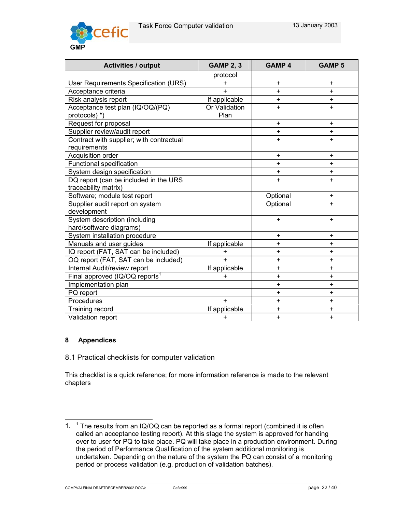

| <b>Activities / output</b>                 | <b>GAMP 2, 3</b> | <b>GAMP 4</b> | <b>GAMP 5</b> |
|--------------------------------------------|------------------|---------------|---------------|
|                                            | protocol         |               |               |
| User Requirements Specification (URS)      | $\ddot{}$        | $\ddot{}$     | ÷             |
| Acceptance criteria                        | $\ddot{}$        | $\ddot{}$     | $+$           |
| Risk analysis report                       | If applicable    | $\ddot{}$     | $\ddot{}$     |
| Acceptance test plan (IQ/OQ/(PQ)           | Or Validation    | $\ddot{}$     | $\ddot{}$     |
| protocols) *)                              | Plan             |               |               |
| Request for proposal                       |                  | $\ddot{}$     | $\ddot{}$     |
| Supplier review/audit report               |                  | $\ddot{}$     | $+$           |
| Contract with supplier; with contractual   |                  | $\ddot{}$     | $+$           |
| requirements                               |                  |               |               |
| Acquisition order                          |                  | $+$           | $+$           |
| Functional specification                   |                  | $\ddot{}$     | $\ddot{}$     |
| System design specification                |                  | $\ddot{}$     | $\ddot{}$     |
| DQ report (can be included in the URS      |                  | $\ddot{}$     | $+$           |
| traceability matrix)                       |                  |               |               |
| Software; module test report               |                  | Optional      | $\ddot{}$     |
| Supplier audit report on system            |                  | Optional      | $+$           |
| development                                |                  |               |               |
| System description (including              |                  | $\ddot{}$     | $\ddot{}$     |
| hard/software diagrams)                    |                  |               |               |
| System installation procedure              |                  | $+$           | $\ddot{}$     |
| Manuals and user guides                    | If applicable    | $\ddot{}$     | $\ddot{}$     |
| IQ report (FAT, SAT can be included)       | +                | $\ddot{}$     | $+$           |
| OQ report (FAT, SAT can be included)       | $+$              | $+$           | $+$           |
| Internal Audit/review report               | If applicable    | +             | +             |
| Final approved (IQ/OQ reports <sup>1</sup> | $\ddot{}$        | $\ddot{}$     | $\ddot{}$     |
| Implementation plan                        |                  | $\ddot{}$     | +             |
| PQ report                                  |                  | $\ddot{}$     | $\ddot{}$     |
| Procedures                                 | $+$              | $\ddot{}$     | $\ddot{}$     |
| Training record                            | If applicable    | +             | +             |
| Validation report                          | $\ddot{}$        | $\ddot{}$     | $\ddot{}$     |

# **8 Appendices**

l

8.1 Practical checklists for computer validation

This checklist is a quick reference; for more information reference is made to the relevant chapters

<sup>1. &</sup>lt;sup>1</sup> The results from an IQ/OQ can be reported as a formal report (combined it is often called an acceptance testing report). At this stage the system is approved for handing over to user for PQ to take place. PQ will take place in a production environment. During the period of Performance Qualification of the system additional monitoring is undertaken. Depending on the nature of the system the PQ can consist of a monitoring period or process validation (e.g. production of validation batches).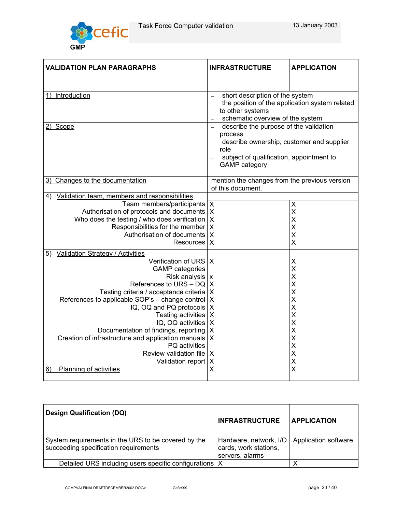$\overline{\phantom{a}}$ 



Г

| <b>VALIDATION PLAN PARAGRAPHS</b>                                       | <b>INFRASTRUCTURE</b>                             | <b>APPLICATION</b>      |  |  |  |
|-------------------------------------------------------------------------|---------------------------------------------------|-------------------------|--|--|--|
|                                                                         |                                                   |                         |  |  |  |
| Introduction<br>1)                                                      | short description of the system                   |                         |  |  |  |
|                                                                         | the position of the application system related    |                         |  |  |  |
|                                                                         | to other systems                                  |                         |  |  |  |
|                                                                         | schematic overview of the system                  |                         |  |  |  |
| Scope<br>2)                                                             | describe the purpose of the validation<br>process |                         |  |  |  |
|                                                                         | describe ownership, customer and supplier         |                         |  |  |  |
|                                                                         | role                                              |                         |  |  |  |
|                                                                         | subject of qualification, appointment to          |                         |  |  |  |
|                                                                         | <b>GAMP</b> category                              |                         |  |  |  |
| Changes to the documentation<br>3)                                      | mention the changes from the previous version     |                         |  |  |  |
|                                                                         | of this document.                                 |                         |  |  |  |
| Validation team, members and responsibilities<br>4)                     |                                                   |                         |  |  |  |
| Team members/participants   X                                           |                                                   | X                       |  |  |  |
| Authorisation of protocols and documents   X                            |                                                   | X                       |  |  |  |
| Who does the testing / who does verification   X                        |                                                   | X                       |  |  |  |
| Responsibilities for the member $X$                                     |                                                   | X                       |  |  |  |
| Authorisation of documents   X                                          |                                                   | X                       |  |  |  |
| Resources X                                                             |                                                   | X                       |  |  |  |
| 5) Validation Strategy / Activities                                     |                                                   |                         |  |  |  |
| Verification of URS   X                                                 |                                                   | X                       |  |  |  |
| <b>GAMP</b> categories                                                  |                                                   | $\mathsf{X}$            |  |  |  |
| Risk analysis $x$                                                       |                                                   | X                       |  |  |  |
| References to URS $-$ DQ   X                                            |                                                   | X                       |  |  |  |
| Testing criteria / acceptance criteria   X                              |                                                   | X                       |  |  |  |
| References to applicable SOP's - change control   X                     |                                                   | X                       |  |  |  |
| IQ, OQ and PQ protocols $X$                                             |                                                   | X                       |  |  |  |
| Testing activities   X                                                  |                                                   | X                       |  |  |  |
| IQ, OQ activities   X                                                   |                                                   | X                       |  |  |  |
| Documentation of findings, reporting   X                                |                                                   | X<br>X                  |  |  |  |
| Creation of infrastructure and application manuals   X<br>PQ activities |                                                   | X                       |  |  |  |
| Review validation file   X                                              |                                                   | $\mathsf{X}$            |  |  |  |
| Validation report   X                                                   |                                                   | X                       |  |  |  |
| Planning of activities<br>6)                                            | $\overline{\mathsf{x}}$                           | $\overline{\mathsf{x}}$ |  |  |  |
|                                                                         |                                                   |                         |  |  |  |

| <b>Design Qualification (DQ)</b>                                                             | <b>INFRASTRUCTURE</b>                                              | <b>APPLICATION</b>   |  |
|----------------------------------------------------------------------------------------------|--------------------------------------------------------------------|----------------------|--|
| System requirements in the URS to be covered by the<br>succeeding specification requirements | Hardware, network, I/O<br>cards, work stations,<br>servers, alarms | Application software |  |
| Detailed URS including users specific configurations   X                                     |                                                                    |                      |  |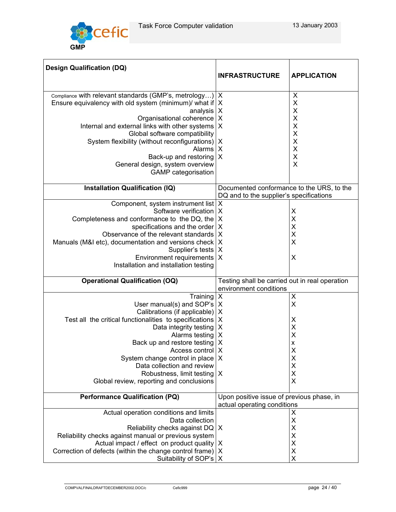

| <b>Design Qualification (DQ)</b>                            |                                                |                    |  |
|-------------------------------------------------------------|------------------------------------------------|--------------------|--|
|                                                             | <b>INFRASTRUCTURE</b>                          | <b>APPLICATION</b> |  |
| Compliance with relevant standards (GMP's, metrology)       | X                                              | X                  |  |
| Ensure equivalency with old system (minimum) what if $X$    |                                                | $\sf X$            |  |
|                                                             |                                                |                    |  |
| analysis $X$                                                |                                                | $\pmb{\mathsf{X}}$ |  |
| Organisational coherence                                    | $\times$                                       | $\mathsf{X}$       |  |
| Internal and external links with other systems   X          |                                                | $\mathsf{X}$       |  |
| Global software compatibility                               |                                                | $\pmb{\times}$     |  |
| System flexibility (without reconfigurations)   X           |                                                | $\sf X$            |  |
| Alarms   X                                                  |                                                | $\sf X$            |  |
| Back-up and restoring                                       | X                                              | $\sf X$            |  |
| General design, system overview                             |                                                | X                  |  |
| <b>GAMP</b> categorisation                                  |                                                |                    |  |
| Installation Qualification (IQ)                             | Documented conformance to the URS, to the      |                    |  |
|                                                             | DQ and to the supplier's specifications        |                    |  |
| Component, system instrument list   X                       |                                                |                    |  |
| Software verification                                       | X                                              | X                  |  |
| Completeness and conformance to the DQ, the                 | X                                              | $\sf X$            |  |
| specifications and the order $X$                            |                                                | X                  |  |
| Observance of the relevant standards                        | $\times$                                       | $\sf X$            |  |
| Manuals (M&I etc), documentation and versions check   X     |                                                | X                  |  |
| Supplier's tests   X                                        |                                                |                    |  |
| Environment requirements   X                                |                                                | X                  |  |
| Installation and installation testing                       |                                                |                    |  |
|                                                             |                                                |                    |  |
| <b>Operational Qualification (OQ)</b>                       | Testing shall be carried out in real operation |                    |  |
|                                                             | environment conditions                         |                    |  |
| Training                                                    | X                                              | X                  |  |
| User manual(s) and SOP's                                    | X                                              | $\sf X$            |  |
| Calibrations (if applicable)   X                            |                                                |                    |  |
| Test all the critical functionalities to specifications   X |                                                | X                  |  |
| Data integrity testing                                      | X                                              | X                  |  |
| Alarms testing   X                                          |                                                | X                  |  |
| Back up and restore testing                                 | X                                              | $\pmb{\mathsf{X}}$ |  |
| Access control   X                                          |                                                | X                  |  |
| System change control in place                              | X                                              | X                  |  |
| Data collection and review                                  |                                                | X                  |  |
| Robustness, limit testing                                   | X                                              | X                  |  |
| Global review, reporting and conclusions                    |                                                | X                  |  |
|                                                             |                                                |                    |  |
| <b>Performance Qualification (PQ)</b>                       | Upon positive issue of previous phase, in      |                    |  |
|                                                             | actual operating conditions                    |                    |  |
| Actual operation conditions and limits                      |                                                | X                  |  |
| Data collection                                             |                                                | X                  |  |
| Reliability checks against DQ   X                           |                                                | X                  |  |
| Reliability checks against manual or previous system        |                                                | X                  |  |
| Actual impact / effect on product quality                   | X                                              | X                  |  |
| Correction of defects (within the change control frame)   X |                                                | X                  |  |
|                                                             |                                                |                    |  |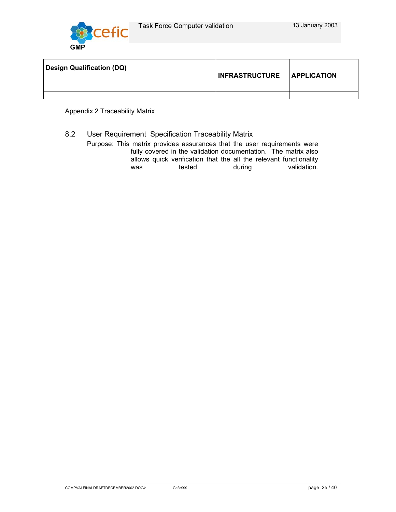

| <b>Design Qualification (DQ)</b> | INFRASTRUCTURE APPLICATION |  |
|----------------------------------|----------------------------|--|
|                                  |                            |  |

Appendix 2 Traceability Matrix

8.2 User Requirement Specification Traceability Matrix

Purpose: This matrix provides assurances that the user requirements were fully covered in the validation documentation. The matrix also allows quick verification that the all the relevant functionality was tested during validation.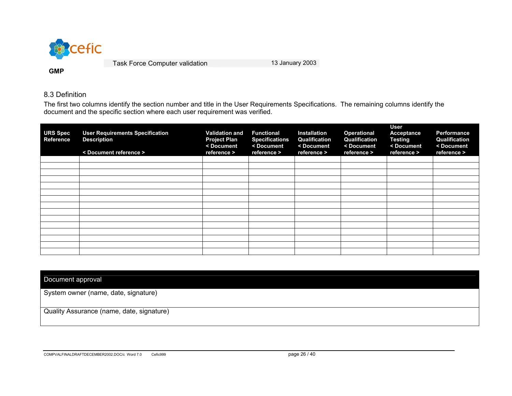

#### 8.3 Definition

**GMP** 

The first two columns identify the section number and title in the User Requirements Specifications. The remaining columns identify the document and the specific section where each user requirement was verified.

| <b>URS Spec</b><br><b>Reference</b> | <b>User Requirements Specification</b><br><b>Description</b><br>< Document reference > | <b>Validation and</b><br><b>Project Plan</b><br>< Document<br>reference > | <b>Functional</b><br><b>Specifications</b><br>< Document<br>reference > | <b>Installation</b><br>Qualification<br>< Document<br>reference > | <b>Operational</b><br>Qualification<br>< Document<br>reference > | <b>User</b><br>Acceptance<br><b>Testing</b><br>< Document<br>reference > | <b>Performance</b><br>Qualification<br><document<br>reference &gt;</document<br> |
|-------------------------------------|----------------------------------------------------------------------------------------|---------------------------------------------------------------------------|-------------------------------------------------------------------------|-------------------------------------------------------------------|------------------------------------------------------------------|--------------------------------------------------------------------------|----------------------------------------------------------------------------------|
|                                     |                                                                                        |                                                                           |                                                                         |                                                                   |                                                                  |                                                                          |                                                                                  |
|                                     |                                                                                        |                                                                           |                                                                         |                                                                   |                                                                  |                                                                          |                                                                                  |
|                                     |                                                                                        |                                                                           |                                                                         |                                                                   |                                                                  |                                                                          |                                                                                  |
|                                     |                                                                                        |                                                                           |                                                                         |                                                                   |                                                                  |                                                                          |                                                                                  |
|                                     |                                                                                        |                                                                           |                                                                         |                                                                   |                                                                  |                                                                          |                                                                                  |
|                                     |                                                                                        |                                                                           |                                                                         |                                                                   |                                                                  |                                                                          |                                                                                  |
|                                     |                                                                                        |                                                                           |                                                                         |                                                                   |                                                                  |                                                                          |                                                                                  |
|                                     |                                                                                        |                                                                           |                                                                         |                                                                   |                                                                  |                                                                          |                                                                                  |
|                                     |                                                                                        |                                                                           |                                                                         |                                                                   |                                                                  |                                                                          |                                                                                  |
|                                     |                                                                                        |                                                                           |                                                                         |                                                                   |                                                                  |                                                                          |                                                                                  |
|                                     |                                                                                        |                                                                           |                                                                         |                                                                   |                                                                  |                                                                          |                                                                                  |
|                                     |                                                                                        |                                                                           |                                                                         |                                                                   |                                                                  |                                                                          |                                                                                  |
|                                     |                                                                                        |                                                                           |                                                                         |                                                                   |                                                                  |                                                                          |                                                                                  |
|                                     |                                                                                        |                                                                           |                                                                         |                                                                   |                                                                  |                                                                          |                                                                                  |
|                                     |                                                                                        |                                                                           |                                                                         |                                                                   |                                                                  |                                                                          |                                                                                  |

Document approval

System owner (name, date, signature)

Quality Assurance (name, date, signature)

COMPVALFINALDRAFTDECEMBER2002.DOC/c Word 7.0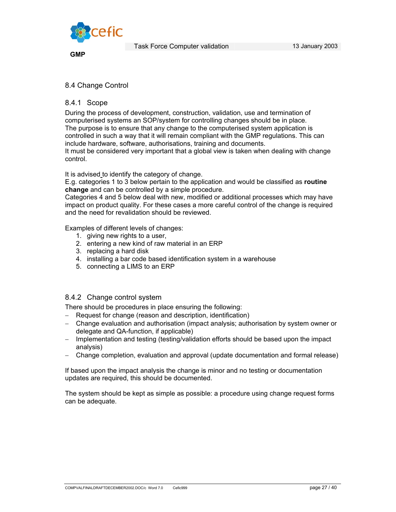

**GMP** 

# 8.4 Change Control

## 8.4.1 Scope

During the process of development, construction, validation, use and termination of computerised systems an SOP/system for controlling changes should be in place. The purpose is to ensure that any change to the computerised system application is controlled in such a way that it will remain compliant with the GMP regulations. This can include hardware, software, authorisations, training and documents.

It must be considered very important that a global view is taken when dealing with change control.

It is advised to identify the category of change.

E.g. categories 1 to 3 below pertain to the application and would be classified as **routine change** and can be controlled by a simple procedure.

Categories 4 and 5 below deal with new, modified or additional processes which may have impact on product quality. For these cases a more careful control of the change is required and the need for revalidation should be reviewed.

Examples of different levels of changes:

- 1. giving new rights to a user,
- 2. entering a new kind of raw material in an ERP
- 3. replacing a hard disk
- 4. installing a bar code based identification system in a warehouse
- 5. connecting a LIMS to an ERP

## 8.4.2 Change control system

There should be procedures in place ensuring the following:

- − Request for change (reason and description, identification)
- − Change evaluation and authorisation (impact analysis; authorisation by system owner or delegate and QA-function, if applicable)
- − Implementation and testing (testing/validation efforts should be based upon the impact analysis)
- − Change completion, evaluation and approval (update documentation and formal release)

If based upon the impact analysis the change is minor and no testing or documentation updates are required, this should be documented.

The system should be kept as simple as possible: a procedure using change request forms can be adequate.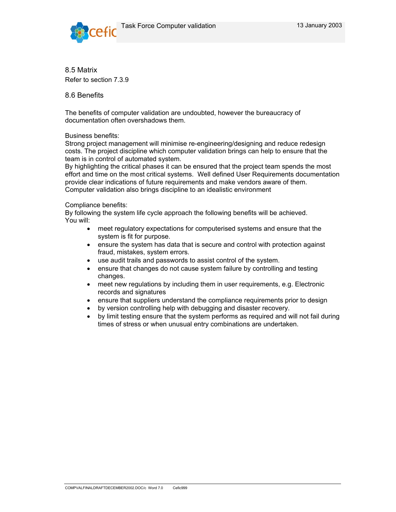



8.5 Matrix Refer to section 7.3.9

8.6 Benefits

The benefits of computer validation are undoubted, however the bureaucracy of documentation often overshadows them.

#### Business benefits:

Strong project management will minimise re-engineering/designing and reduce redesign costs. The project discipline which computer validation brings can help to ensure that the team is in control of automated system.

By highlighting the critical phases it can be ensured that the project team spends the most effort and time on the most critical systems. Well defined User Requirements documentation provide clear indications of future requirements and make vendors aware of them. Computer validation also brings discipline to an idealistic environment

#### Compliance benefits:

By following the system life cycle approach the following benefits will be achieved. You will:

- meet regulatory expectations for computerised systems and ensure that the system is fit for purpose.
- ensure the system has data that is secure and control with protection against fraud, mistakes, system errors.
- use audit trails and passwords to assist control of the system.
- ensure that changes do not cause system failure by controlling and testing changes.
- meet new regulations by including them in user requirements, e.g. Electronic records and signatures
- ensure that suppliers understand the compliance requirements prior to design
- by version controlling help with debugging and disaster recovery.
- by limit testing ensure that the system performs as required and will not fail during times of stress or when unusual entry combinations are undertaken.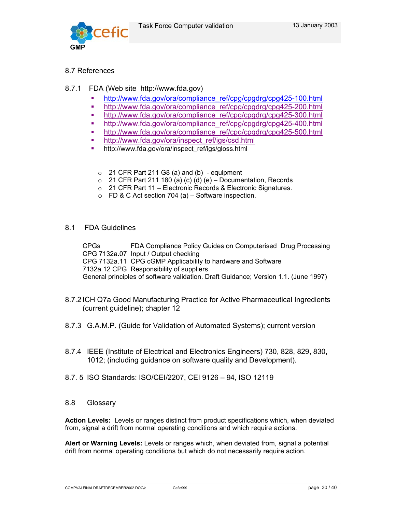

# 8.7 References

# 8.7.1 FDA (Web site http://www.fda.gov)

- http://www.fda.gov/ora/compliance\_ref/cpg/cpgdrg/cpg425-100.html
- http://www.fda.gov/ora/compliance\_ref/cpg/cpgdrg/cpg425-200.html
- http://www.fda.gov/ora/compliance\_ref/cpg/cpgdrg/cpg425-300.html
- http://www.fda.gov/ora/compliance\_ref/cpg/cpgdrg/cpg425-400.html
- http://www.fda.gov/ora/compliance\_ref/cpg/cpgdrg/cpg425-500.html
- **http://www.fda.gov/ora/inspect\_ref/igs/csd.html**
- http://www.fda.gov/ora/inspect\_ref/igs/gloss.html
	- $\circ$  21 CFR Part 211 G8 (a) and (b) equipment
	- $\circ$  21 CFR Part 211 180 (a) (c) (d) (e) Documentation, Records
	- o 21 CFR Part 11 Electronic Records & Electronic Signatures.
	- $\circ$  FD & C Act section 704 (a) Software inspection.
- 8.1 FDA Guidelines

CPGs FDA Compliance Policy Guides on Computerised Drug Processing CPG 7132a.07 Input / Output checking CPG 7132a.11 CPG cGMP Applicability to hardware and Software 7132a.12 CPG Responsibility of suppliers General principles of software validation. Draft Guidance; Version 1.1. (June 1997)

- 8.7.2 ICH Q7a Good Manufacturing Practice for Active Pharmaceutical Ingredients (current guideline); chapter 12
- 8.7.3 G.A.M.P. (Guide for Validation of Automated Systems); current version
- 8.7.4 IEEE (Institute of Electrical and Electronics Engineers) 730, 828, 829, 830, 1012; (including guidance on software quality and Development).
- 8.7. 5 ISO Standards: ISO/CEI/2207, CEI 9126 94, ISO 12119
- 8.8 Glossary

**Action Levels:** Levels or ranges distinct from product specifications which, when deviated from, signal a drift from normal operating conditions and which require actions.

**Alert or Warning Levels:** Levels or ranges which, when deviated from, signal a potential drift from normal operating conditions but which do not necessarily require action.

COMPVALFINALDRAFTDECEMBER2002.DOC/c Cefic999 page 30 / 40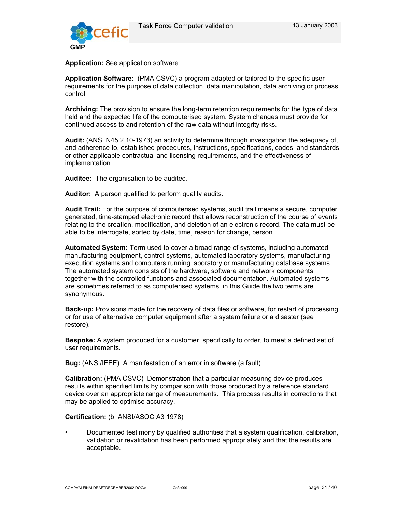

**Application:** See application software

**Application Software:** (PMA CSVC) a program adapted or tailored to the specific user requirements for the purpose of data collection, data manipulation, data archiving or process control.

**Archiving:** The provision to ensure the long-term retention requirements for the type of data held and the expected life of the computerised system. System changes must provide for continued access to and retention of the raw data without integrity risks.

**Audit:** (ANSI N45.2.10-1973) an activity to determine through investigation the adequacy of, and adherence to, established procedures, instructions, specifications, codes, and standards or other applicable contractual and licensing requirements, and the effectiveness of implementation.

**Auditee:** The organisation to be audited.

**Auditor:** A person qualified to perform quality audits.

**Audit Trail:** For the purpose of computerised systems, audit trail means a secure, computer generated, time-stamped electronic record that allows reconstruction of the course of events relating to the creation, modification, and deletion of an electronic record. The data must be able to be interrogate, sorted by date, time, reason for change, person.

**Automated System:** Term used to cover a broad range of systems, including automated manufacturing equipment, control systems, automated laboratory systems, manufacturing execution systems and computers running laboratory or manufacturing database systems. The automated system consists of the hardware, software and network components, together with the controlled functions and associated documentation. Automated systems are sometimes referred to as computerised systems; in this Guide the two terms are synonymous.

**Back-up:** Provisions made for the recovery of data files or software, for restart of processing, or for use of alternative computer equipment after a system failure or a disaster (see restore).

**Bespoke:** A system produced for a customer, specifically to order, to meet a defined set of user requirements.

**Bug:** (ANSI/IEEE) A manifestation of an error in software (a fault).

**Calibration:** (PMA CSVC) Demonstration that a particular measuring device produces results within specified limits by comparison with those produced by a reference standard device over an appropriate range of measurements. This process results in corrections that may be applied to optimise accuracy.

**Certification:** (b. ANSI/ASQC A3 1978)

• Documented testimony by qualified authorities that a system qualification, calibration, validation or revalidation has been performed appropriately and that the results are acceptable.

COMPVALFINALDRAFTDECEMBER2002.DOC/c Cefic999 Cefic999 compvalFinalDRAFTDECEMBER2002.DOC/c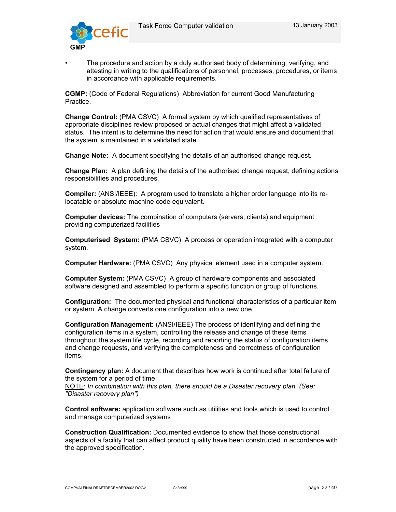

The procedure and action by a duly authorised body of determining, verifying, and attesting in writing to the qualifications of personnel, processes, procedures, or items in accordance with applicable requirements.

**CGMP:** (Code of Federal Regulations) Abbreviation for current Good Manufacturing Practice.

**Change Control:** (PMA CSVC) A formal system by which qualified representatives of appropriate disciplines review proposed or actual changes that might affect a validated status. The intent is to determine the need for action that would ensure and document that the system is maintained in a validated state.

**Change Note:** A document specifying the details of an authorised change request.

**Change Plan:** A plan defining the details of the authorised change request, defining actions, responsibilities and procedures.

**Compiler:** (ANSI/IEEE): A program used to translate a higher order language into its relocatable or absolute machine code equivalent.

**Computer devices:** The combination of computers (servers, clients) and equipment providing computerized facilities

**Computerised System:** (PMA CSVC) A process or operation integrated with a computer system.

**Computer Hardware:** (PMA CSVC) Any physical element used in a computer system.

**Computer System:** (PMA CSVC) A group of hardware components and associated software designed and assembled to perform a specific function or group of functions.

**Configuration:** The documented physical and functional characteristics of a particular item or system. A change converts one configuration into a new one.

**Configuration Management:** (ANSI/IEEE) The process of identifying and defining the configuration items in a system, controlling the release and change of these items throughout the system life cycle, recording and reporting the status of configuration items and change requests, and verifying the completeness and correctness of configuration items.

**Contingency plan:** A document that describes how work is continued after total failure of the system for a period of time NOTE: *In combination with this plan, there should be a Disaster recovery plan. (See: "Disaster recovery plan")* 

**Control software:** application software such as utilities and tools which is used to control and manage computerized systems

**Construction Qualification:** Documented evidence to show that those constructional aspects of a facility that can affect product quality have been constructed in accordance with the approved specification.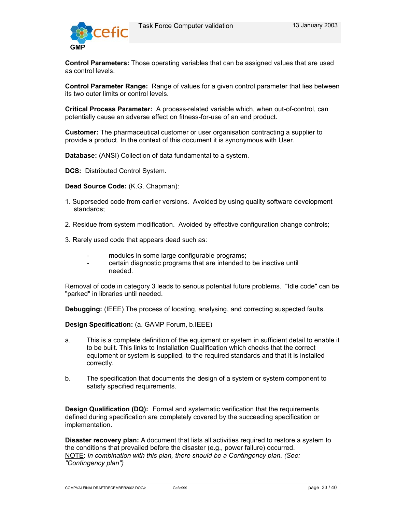

**Control Parameters:** Those operating variables that can be assigned values that are used as control levels.

**Control Parameter Range:** Range of values for a given control parameter that lies between its two outer limits or control levels.

**Critical Process Parameter:** A process-related variable which, when out-of-control, can potentially cause an adverse effect on fitness-for-use of an end product.

**Customer:** The pharmaceutical customer or user organisation contracting a supplier to provide a product. In the context of this document it is synonymous with User.

**Database:** (ANSI) Collection of data fundamental to a system.

**DCS:** Distributed Control System.

**Dead Source Code:** (K.G. Chapman):

- 1. Superseded code from earlier versions. Avoided by using quality software development standards;
- 2. Residue from system modification. Avoided by effective configuration change controls;
- 3. Rarely used code that appears dead such as:
	- modules in some large configurable programs;
	- certain diagnostic programs that are intended to be inactive until needed.

Removal of code in category 3 leads to serious potential future problems. "Idle code" can be "parked" in libraries until needed.

**Debugging:** (IEEE) The process of locating, analysing, and correcting suspected faults.

**Design Specification:** (a. GAMP Forum, b.IEEE)

- a. This is a complete definition of the equipment or system in sufficient detail to enable it to be built. This links to Installation Qualification which checks that the correct equipment or system is supplied, to the required standards and that it is installed correctly.
- b. The specification that documents the design of a system or system component to satisfy specified requirements.

**Design Qualification (DQ):** Formal and systematic verification that the requirements defined during specification are completely covered by the succeeding specification or implementation.

**Disaster recovery plan:** A document that lists all activities required to restore a system to the conditions that prevailed before the disaster (e.g., power failure) occurred. NOTE: *In combination with this plan, there should be a Contingency plan. (See: "Contingency plan")*

COMPVALFINALDRAFTDECEMBER2002.DOC/c Cefic999 page 33 / 40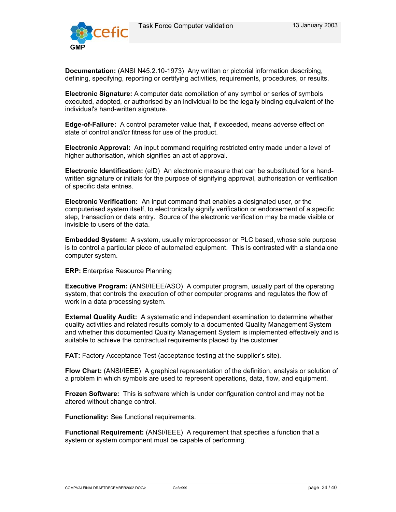

**Documentation:** (ANSI N45.2.10-1973) Any written or pictorial information describing, defining, specifying, reporting or certifying activities, requirements, procedures, or results.

**Electronic Signature:** A computer data compilation of any symbol or series of symbols executed, adopted, or authorised by an individual to be the legally binding equivalent of the individual's hand-written signature.

**Edge-of-Failure:** A control parameter value that, if exceeded, means adverse effect on state of control and/or fitness for use of the product.

**Electronic Approval:** An input command requiring restricted entry made under a level of higher authorisation, which signifies an act of approval.

**Electronic Identification:** (eID) An electronic measure that can be substituted for a handwritten signature or initials for the purpose of signifying approval, authorisation or verification of specific data entries.

**Electronic Verification:** An input command that enables a designated user, or the computerised system itself, to electronically signify verification or endorsement of a specific step, transaction or data entry. Source of the electronic verification may be made visible or invisible to users of the data.

**Embedded System:** A system, usually microprocessor or PLC based, whose sole purpose is to control a particular piece of automated equipment. This is contrasted with a standalone computer system.

**ERP:** Enterprise Resource Planning

**Executive Program:** (ANSI/IEEE/ASO) A computer program, usually part of the operating system, that controls the execution of other computer programs and regulates the flow of work in a data processing system.

**External Quality Audit:** A systematic and independent examination to determine whether quality activities and related results comply to a documented Quality Management System and whether this documented Quality Management System is implemented effectively and is suitable to achieve the contractual requirements placed by the customer.

**FAT:** Factory Acceptance Test (acceptance testing at the supplier's site).

**Flow Chart:** (ANSI/IEEE) A graphical representation of the definition, analysis or solution of a problem in which symbols are used to represent operations, data, flow, and equipment.

**Frozen Software:** This is software which is under configuration control and may not be altered without change control.

**Functionality:** See functional requirements.

**Functional Requirement:** (ANSI/IEEE) A requirement that specifies a function that a system or system component must be capable of performing.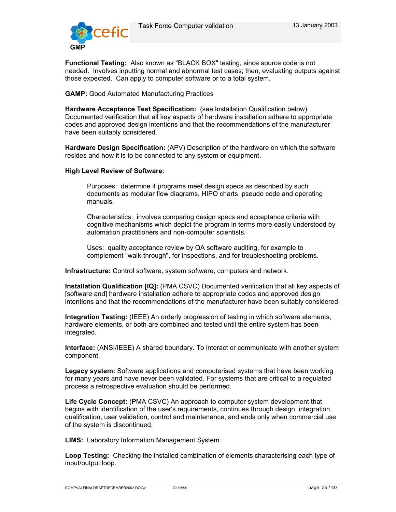

**Functional Testing:** Also known as "BLACK BOX" testing, since source code is not needed. Involves inputting normal and abnormal test cases; then, evaluating outputs against those expected. Can apply to computer software or to a total system.

**GAMP:** Good Automated Manufacturing Practices

**Hardware Acceptance Test Specification:** (see Installation Qualification below). Documented verification that all key aspects of hardware installation adhere to appropriate codes and approved design intentions and that the recommendations of the manufacturer have been suitably considered.

**Hardware Design Specification:** (APV) Description of the hardware on which the software resides and how it is to be connected to any system or equipment.

#### **High Level Review of Software:**

Purposes: determine if programs meet design specs as described by such documents as modular flow diagrams, HIPO charts, pseudo code and operating manuals.

Characteristics: involves comparing design specs and acceptance criteria with cognitive mechanisms which depict the program in terms more easily understood by automation practitioners and non-computer scientists.

Uses: quality acceptance review by QA software auditing, for example to complement "walk-through", for inspections, and for troubleshooting problems.

**Infrastructure:** Control software, system software, computers and network.

**Installation Qualification [IQ]:** (PMA CSVC) Documented verification that all key aspects of [software and] hardware installation adhere to appropriate codes and approved design intentions and that the recommendations of the manufacturer have been suitably considered.

**Integration Testing:** (IEEE) An orderly progression of testing in which software elements, hardware elements, or both are combined and tested until the entire system has been integrated.

**Interface:** (ANSI/IEEE) A shared boundary. To interact or communicate with another system component.

**Legacy system:** Software applications and computerised systems that have been working for many years and have never been validated. For systems that are critical to a regulated process a retrospective evaluation should be performed.

**Life Cycle Concept:** (PMA CSVC) An approach to computer system development that begins with identification of the user's requirements, continues through design, integration, qualification, user validation, control and maintenance, and ends only when commercial use of the system is discontinued.

**LIMS:** Laboratory Information Management System.

**Loop Testing:** Checking the installed combination of elements characterising each type of input/output loop.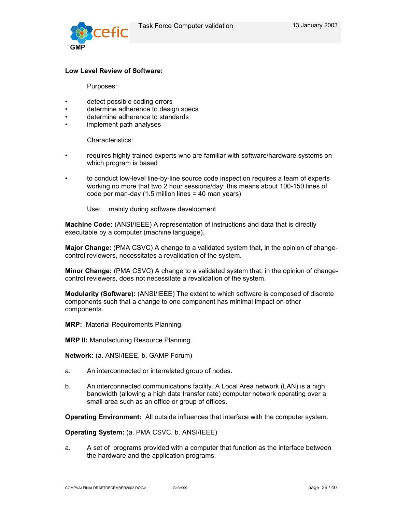

#### **Low Level Review of Software:**

Purposes:

- detect possible coding errors
- determine adherence to design specs
- determine adherence to standards
- implement path analyses

Characteristics:

- requires highly trained experts who are familiar with software/hardware systems on which program is based
- to conduct low-level line-by-line source code inspection requires a team of experts working no more that two 2 hour sessions/day; this means about 100-150 lines of code per man-day (1.5 million lines = 40 man years)

Use: mainly during software development

**Machine Code:** (ANSI/IEEE) A representation of instructions and data that is directly executable by a computer (machine language).

**Major Change:** (PMA CSVC) A change to a validated system that, in the opinion of changecontrol reviewers, necessitates a revalidation of the system.

**Minor Change:** (PMA CSVC) A change to a validated system that, in the opinion of changecontrol reviewers, does not necessitate a revalidation of the system.

**Modularity (Software):** (ANSI/IEEE) The extent to which software is composed of discrete components such that a change to one component has minimal impact on other components.

**MRP:** Material Requirements Planning.

**MRP II:** Manufacturing Resource Planning.

**Network:** (a. ANSI/IEEE, b. GAMP Forum)

- a. An interconnected or interrelated group of nodes.
- b. An interconnected communications facility. A Local Area network (LAN) is a high bandwidth (allowing a high data transfer rate) computer network operating over a small area such as an office or group of offices.

**Operating Environment:** All outside influences that interface with the computer system.

**Operating System:** (a. PMA CSVC, b. ANSI/IEEE)

a. A set of programs provided with a computer that function as the interface between the hardware and the application programs.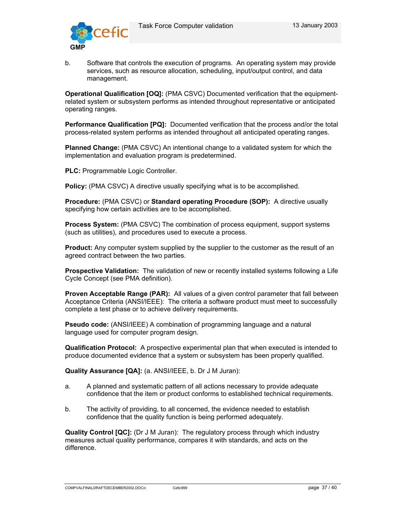

b. Software that controls the execution of programs. An operating system may provide services, such as resource allocation, scheduling, input/output control, and data management.

**Operational Qualification [OQ]:** (PMA CSVC) Documented verification that the equipmentrelated system or subsystem performs as intended throughout representative or anticipated operating ranges.

**Performance Qualification [PQ]:** Documented verification that the process and/or the total process-related system performs as intended throughout all anticipated operating ranges.

**Planned Change:** (PMA CSVC) An intentional change to a validated system for which the implementation and evaluation program is predetermined.

**PLC:** Programmable Logic Controller.

**Policy:** (PMA CSVC) A directive usually specifying what is to be accomplished.

**Procedure:** (PMA CSVC) or **Standard operating Procedure (SOP):** A directive usually specifying how certain activities are to be accomplished.

**Process System:** (PMA CSVC) The combination of process equipment, support systems (such as utilities), and procedures used to execute a process.

**Product:** Any computer system supplied by the supplier to the customer as the result of an agreed contract between the two parties.

**Prospective Validation:** The validation of new or recently installed systems following a Life Cycle Concept (see PMA definition).

**Proven Acceptable Range (PAR):** All values of a given control parameter that fall between Acceptance Criteria (ANSI/IEEE): The criteria a software product must meet to successfully complete a test phase or to achieve delivery requirements.

**Pseudo code:** (ANSI/IEEE) A combination of programming language and a natural language used for computer program design.

**Qualification Protocol:** A prospective experimental plan that when executed is intended to produce documented evidence that a system or subsystem has been properly qualified.

**Quality Assurance [QA]:** (a. ANSI/IEEE, b. Dr J M Juran):

- a. A planned and systematic pattern of all actions necessary to provide adequate confidence that the item or product conforms to established technical requirements.
- b. The activity of providing, to all concerned, the evidence needed to establish confidence that the quality function is being performed adequately.

**Quality Control [QC]:** (Dr J M Juran): The regulatory process through which industry measures actual quality performance, compares it with standards, and acts on the difference.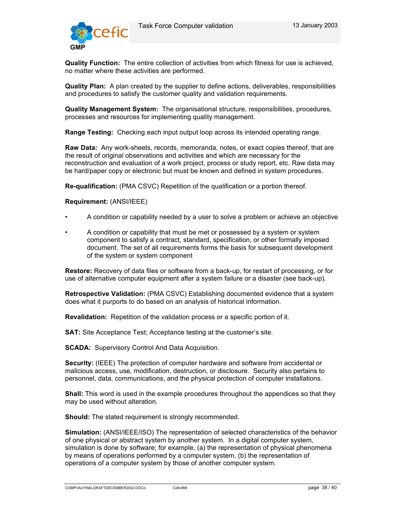

**Quality Function:** The entire collection of activities from which fitness for use is achieved, no matter where these activities are performed.

**Quality Plan:** A plan created by the supplier to define actions, deliverables, responsibilities and procedures to satisfy the customer quality and validation requirements.

**Quality Management System:** The organisational structure, responsibilities, procedures, processes and resources for implementing quality management.

**Range Testing:** Checking each input output loop across its intended operating range.

**Raw Data:** Any work-sheets, records, memoranda, notes, or exact copies thereof, that are the result of original observations and activities and which are necessary for the reconstruction and evaluation of a work project, process or study report, etc. Raw data may be hard/paper copy or electronic but must be known and defined in system procedures.

**Re-qualification:** (PMA CSVC) Repetition of the qualification or a portion thereof.

#### **Requirement:** (ANSI/IEEE)

- A condition or capability needed by a user to solve a problem or achieve an objective
- A condition or capability that must be met or possessed by a system or system component to satisfy a contract, standard, specification, or other formally imposed document. The set of all requirements forms the basis for subsequent development of the system or system component

**Restore:** Recovery of data files or software from a back-up, for restart of processing, or for use of alternative computer equipment after a system failure or a disaster (see back-up).

**Retrospective Validation:** (PMA CSVC) Establishing documented evidence that a system does what it purports to do based on an analysis of historical information.

**Revalidation:** Repetition of the validation process or a specific portion of it.

**SAT:** Site Acceptance Test; Acceptance testing at the customer's site.

**SCADA:** Supervisory Control And Data Acquisition.

**Security:** (IEEE) The protection of computer hardware and software from accidental or malicious access, use, modification, destruction, or disclosure. Security also pertains to personnel, data, communications, and the physical protection of computer installations.

**Shall:** This word is used in the example procedures throughout the appendices so that they may be used without alteration.

**Should:** The stated requirement is strongly recommended.

**Simulation:** (ANSI/IEEE/ISO) The representation of selected characteristics of the behavior of one physical or abstract system by another system. In a digital computer system, simulation is done by software; for example, (a) the representation of physical phenomena by means of operations performed by a computer system, (b) the representation of operations of a computer system by those of another computer system.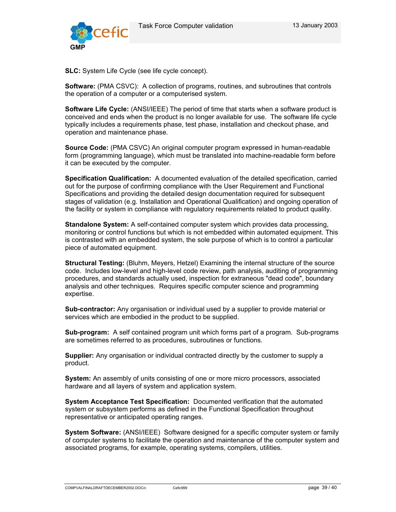

**SLC:** System Life Cycle (see life cycle concept).

**Software:** (PMA CSVC): A collection of programs, routines, and subroutines that controls the operation of a computer or a computerised system.

**Software Life Cycle:** (ANSI/IEEE) The period of time that starts when a software product is conceived and ends when the product is no longer available for use. The software life cycle typically includes a requirements phase, test phase, installation and checkout phase, and operation and maintenance phase.

**Source Code:** (PMA CSVC) An original computer program expressed in human-readable form (programming language), which must be translated into machine-readable form before it can be executed by the computer.

**Specification Qualification:** A documented evaluation of the detailed specification, carried out for the purpose of confirming compliance with the User Requirement and Functional Specifications and providing the detailed design documentation required for subsequent stages of validation (e.g. Installation and Operational Qualification) and ongoing operation of the facility or system in compliance with regulatory requirements related to product quality.

**Standalone System:** A self-contained computer system which provides data processing, monitoring or control functions but which is not embedded within automated equipment. This is contrasted with an embedded system, the sole purpose of which is to control a particular piece of automated equipment.

**Structural Testing:** (Bluhm, Meyers, Hetzel) Examining the internal structure of the source code. Includes low-level and high-level code review, path analysis, auditing of programming procedures, and standards actually used, inspection for extraneous "dead code", boundary analysis and other techniques. Requires specific computer science and programming expertise.

**Sub-contractor:** Any organisation or individual used by a supplier to provide material or services which are embodied in the product to be supplied.

**Sub-program:** A self contained program unit which forms part of a program. Sub-programs are sometimes referred to as procedures, subroutines or functions.

**Supplier:** Any organisation or individual contracted directly by the customer to supply a product.

**System:** An assembly of units consisting of one or more micro processors, associated hardware and all layers of system and application system.

**System Acceptance Test Specification:** Documented verification that the automated system or subsystem performs as defined in the Functional Specification throughout representative or anticipated operating ranges.

**System Software:** (ANSI/IEEE) Software designed for a specific computer system or family of computer systems to facilitate the operation and maintenance of the computer system and associated programs, for example, operating systems, compilers, utilities.